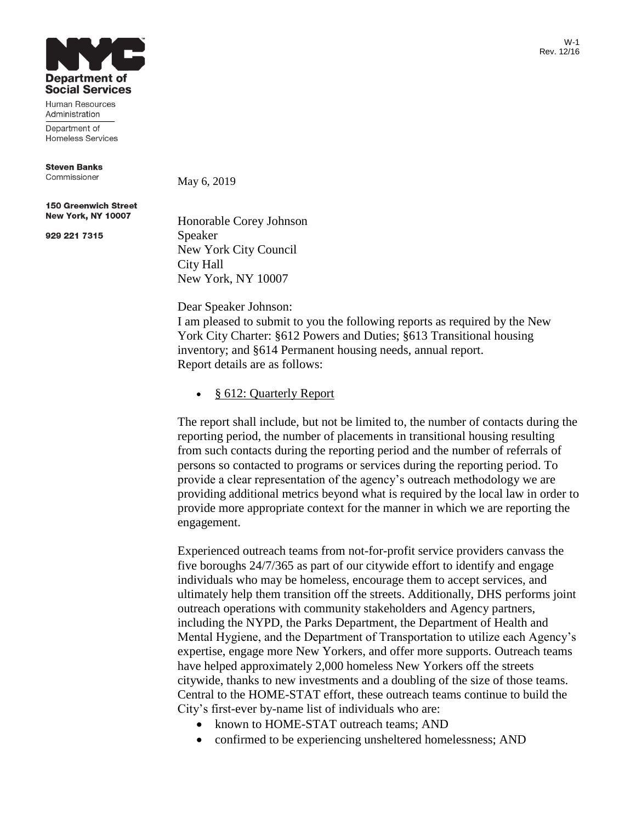

**Human Resources** Administration

Department of Homeless Services

**Steven Banks** Commissioner

May 6, 2019

**150 Greenwich Street** New York, NY 10007

929 221 7315

Honorable Corey Johnson Speaker New York City Council City Hall New York, NY 10007

Dear Speaker Johnson:

I am pleased to submit to you the following reports as required by the New York City Charter: §612 Powers and Duties; §613 Transitional housing inventory; and §614 Permanent housing needs, annual report. Report details are as follows:

• § 612: Quarterly Report

The report shall include, but not be limited to, the number of contacts during the reporting period, the number of placements in transitional housing resulting from such contacts during the reporting period and the number of referrals of persons so contacted to programs or services during the reporting period. To provide a clear representation of the agency's outreach methodology we are providing additional metrics beyond what is required by the local law in order to provide more appropriate context for the manner in which we are reporting the engagement.

Experienced outreach teams from not-for-profit service providers canvass the five boroughs 24/7/365 as part of our citywide effort to identify and engage individuals who may be homeless, encourage them to accept services, and ultimately help them transition off the streets. Additionally, DHS performs joint outreach operations with community stakeholders and Agency partners, including the NYPD, the Parks Department, the Department of Health and Mental Hygiene, and the Department of Transportation to utilize each Agency's expertise, engage more New Yorkers, and offer more supports. Outreach teams have helped approximately 2,000 homeless New Yorkers off the streets citywide, thanks to new investments and a doubling of the size of those teams. Central to the HOME-STAT effort, these outreach teams continue to build the City's first-ever by-name list of individuals who are:

- known to HOME-STAT outreach teams; AND
- confirmed to be experiencing unsheltered homelessness; AND

w<sup>-1</sup> with the state of the state of the state of the state of the state of the state of the state of the state of the state of the state of the state of the state of the state of the state of the state of the state of the Rev. 12/16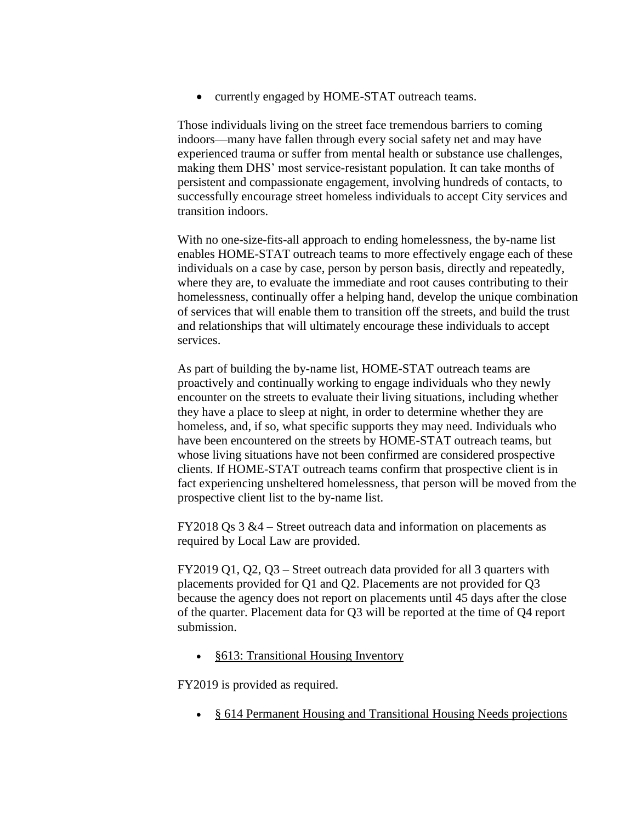• currently engaged by HOME-STAT outreach teams.

Those individuals living on the street face tremendous barriers to coming indoors—many have fallen through every social safety net and may have experienced trauma or suffer from mental health or substance use challenges, making them DHS' most service-resistant population. It can take months of persistent and compassionate engagement, involving hundreds of contacts, to successfully encourage street homeless individuals to accept City services and transition indoors.

With no one-size-fits-all approach to ending homelessness, the by-name list enables HOME-STAT outreach teams to more effectively engage each of these individuals on a case by case, person by person basis, directly and repeatedly, where they are, to evaluate the immediate and root causes contributing to their homelessness, continually offer a helping hand, develop the unique combination of services that will enable them to transition off the streets, and build the trust and relationships that will ultimately encourage these individuals to accept services.

As part of building the by-name list, HOME-STAT outreach teams are proactively and continually working to engage individuals who they newly encounter on the streets to evaluate their living situations, including whether they have a place to sleep at night, in order to determine whether they are homeless, and, if so, what specific supports they may need. Individuals who have been encountered on the streets by HOME-STAT outreach teams, but whose living situations have not been confirmed are considered prospective clients. If HOME-STAT outreach teams confirm that prospective client is in fact experiencing unsheltered homelessness, that person will be moved from the prospective client list to the by-name list.

FY2018 Qs 3 &4 – Street outreach data and information on placements as required by Local Law are provided.

FY2019 Q1, Q2, Q3 – Street outreach data provided for all 3 quarters with placements provided for Q1 and Q2. Placements are not provided for Q3 because the agency does not report on placements until 45 days after the close of the quarter. Placement data for Q3 will be reported at the time of Q4 report submission.

• §613: Transitional Housing Inventory

FY2019 is provided as required.

• § 614 Permanent Housing and Transitional Housing Needs projections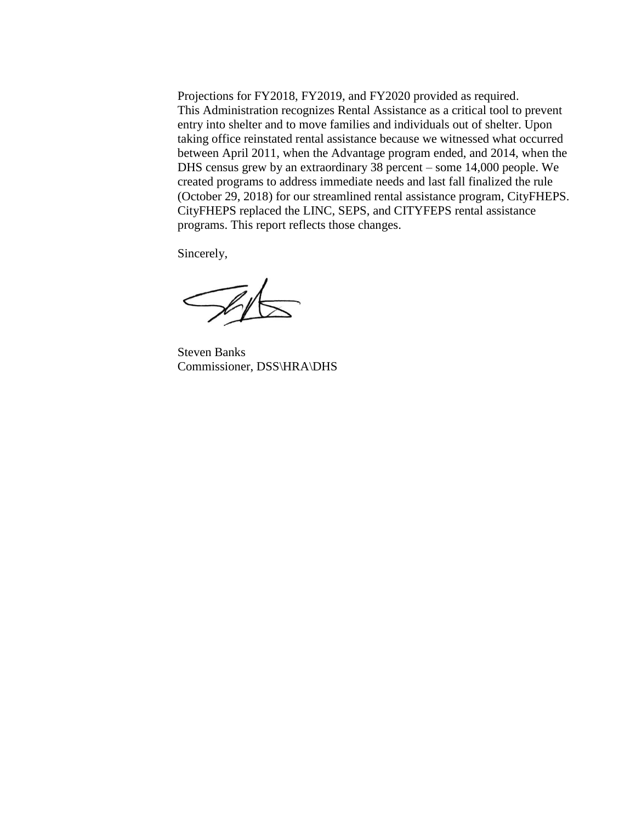Projections for FY2018, FY2019, and FY2020 provided as required. This Administration recognizes Rental Assistance as a critical tool to prevent entry into shelter and to move families and individuals out of shelter. Upon taking office reinstated rental assistance because we witnessed what occurred between April 2011, when the Advantage program ended, and 2014, when the DHS census grew by an extraordinary 38 percent – some 14,000 people. We created programs to address immediate needs and last fall finalized the rule (October 29, 2018) for our streamlined rental assistance program, CityFHEPS. CityFHEPS replaced the LINC, SEPS, and CITYFEPS rental assistance programs. This report reflects those changes.

Sincerely,

Steven Banks Commissioner, DSS\HRA\DHS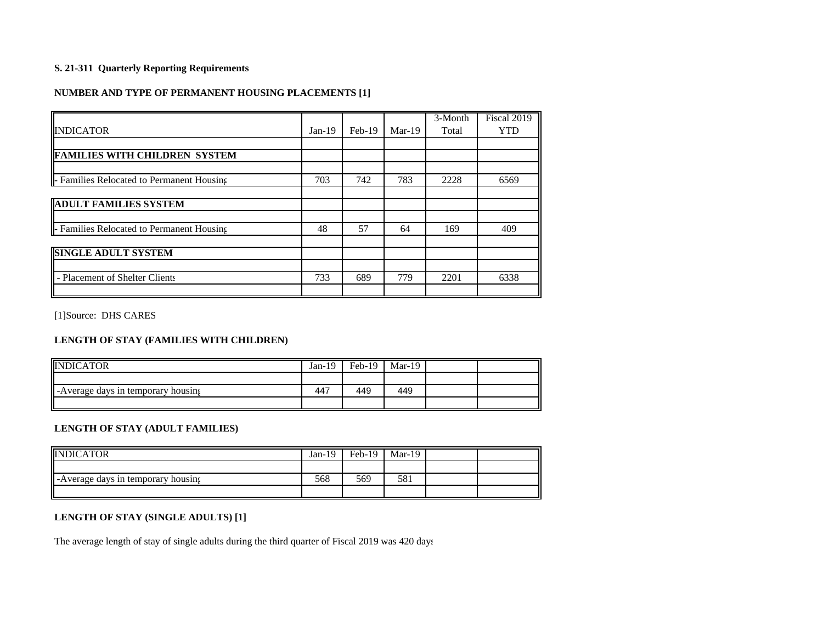### **NUMBER AND TYPE OF PERMANENT HOUSING PLACEMENTS [1]**

|                                           |          |          |          | 3-Month | Fiscal 2019 |
|-------------------------------------------|----------|----------|----------|---------|-------------|
| <b>INDICATOR</b>                          | $Jan-19$ | $Feb-19$ | $Mar-19$ | Total   | YTD         |
|                                           |          |          |          |         |             |
| <b>FAMILIES WITH CHILDREN SYSTEM</b>      |          |          |          |         |             |
|                                           |          |          |          |         |             |
| - Families Relocated to Permanent Housing | 703      | 742      | 783      | 2228    | 6569        |
|                                           |          |          |          |         |             |
| <b>ADULT FAMILIES SYSTEM</b>              |          |          |          |         |             |
|                                           |          |          |          |         |             |
| - Families Relocated to Permanent Housing | 48       | 57       | 64       | 169     | 409         |
|                                           |          |          |          |         |             |
| <b>SINGLE ADULT SYSTEM</b>                |          |          |          |         |             |
|                                           |          |          |          |         |             |
| - Placement of Shelter Clients            | 733      | 689      | 779      | 2201    | 6338        |
|                                           |          |          |          |         |             |

[1]Source: DHS CARES

### **LENGTH OF STAY (FAMILIES WITH CHILDREN)**

| <b>INDICATOR</b>                  | $Jan-19$ | $Feb-19$ | $Mar-19$ |  |
|-----------------------------------|----------|----------|----------|--|
|                                   |          |          |          |  |
| Average days in temporary housing | 447      | 449      | 449      |  |
|                                   |          |          |          |  |

#### **LENGTH OF STAY (ADULT FAMILIES)**

| <b>INDICATOR</b>                  | $Jan-19$ | $Feb-19$ | $Mar-19$ |  |
|-----------------------------------|----------|----------|----------|--|
|                                   |          |          |          |  |
| Average days in temporary housing | 568      | 569      | 581      |  |
|                                   |          |          |          |  |

### **LENGTH OF STAY (SINGLE ADULTS) [1]**

The average length of stay of single adults during the third quarter of Fiscal 2019 was 420 days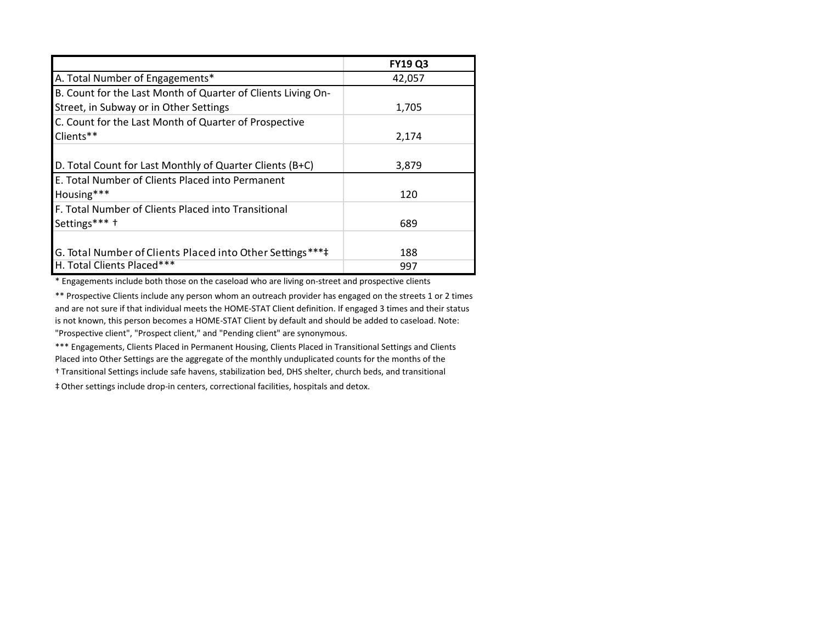|                                                              | <b>FY19 Q3</b> |
|--------------------------------------------------------------|----------------|
| A. Total Number of Engagements*                              | 42,057         |
| B. Count for the Last Month of Quarter of Clients Living On- |                |
| Street, in Subway or in Other Settings                       | 1,705          |
| C. Count for the Last Month of Quarter of Prospective        |                |
| Clients**                                                    | 2,174          |
|                                                              |                |
| D. Total Count for Last Monthly of Quarter Clients (B+C)     | 3,879          |
| E. Total Number of Clients Placed into Permanent             |                |
| Housing***                                                   | 120            |
| F. Total Number of Clients Placed into Transitional          |                |
| Settings*** +                                                | 689            |
|                                                              |                |
| G. Total Number of Clients Placed into Other Settings *** ‡  | 188            |
| H. Total Clients Placed***                                   | 997            |

\* Engagements include both those on the caseload who are living on‐street and prospective clients

\*\* Prospective Clients include any person whom an outreach provider has engaged on the streets 1 or 2 times and are not sure if that individual meets the HOME‐STAT Client definition. If engaged 3 times and their status is not known, this person becomes <sup>a</sup> HOME‐STAT Client by default and should be added to caseload. Note: "Prospective client", "Prospect client," and "Pending client" are synonymous.

\*\*\* Engagements, Clients Placed in Permanent Housing, Clients Placed in Transitional Settings and Clients Placed into Other Settings are the aggregate of the monthly unduplicated counts for the months of the † Transitional Settings include safe havens, stabilization bed, DHS shelter, church beds, and transitional

‡ Other settings include drop‐in centers, correctional facilities, hospitals and detox.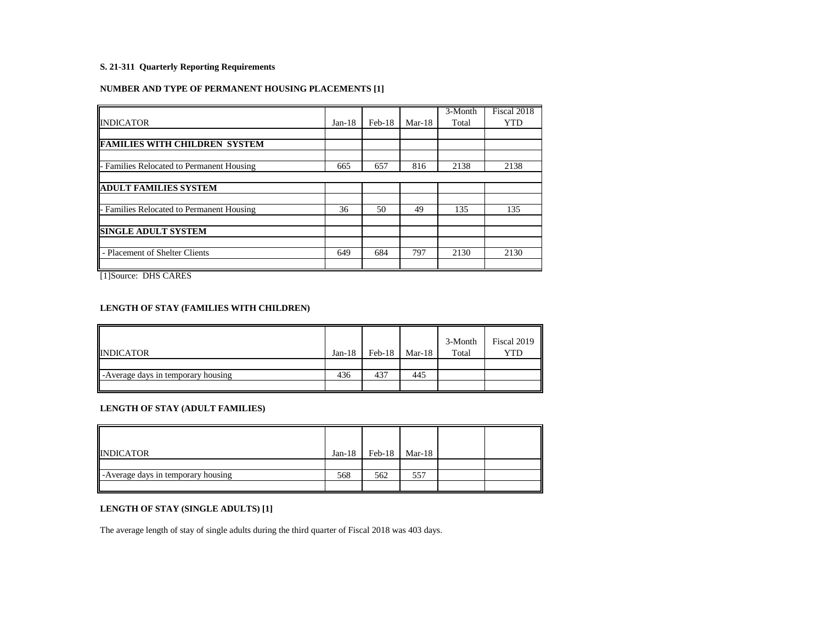### **NUMBER AND TYPE OF PERMANENT HOUSING PLACEMENTS [1]**

|                                           |          |          |          | 3-Month | Fiscal 2018 |
|-------------------------------------------|----------|----------|----------|---------|-------------|
| <b>INDICATOR</b>                          | $Jan-18$ | $Feb-18$ | $Mar-18$ | Total   | <b>YTD</b>  |
|                                           |          |          |          |         |             |
| <b>FAMILIES WITH CHILDREN SYSTEM</b>      |          |          |          |         |             |
|                                           |          |          |          |         |             |
| - Families Relocated to Permanent Housing | 665      | 657      | 816      | 2138    | 2138        |
|                                           |          |          |          |         |             |
| <b>ADULT FAMILIES SYSTEM</b>              |          |          |          |         |             |
|                                           |          |          |          |         |             |
| - Families Relocated to Permanent Housing | 36       | 50       | 49       | 135     | 135         |
|                                           |          |          |          |         |             |
| <b>SINGLE ADULT SYSTEM</b>                |          |          |          |         |             |
|                                           |          |          |          |         |             |
| - Placement of Shelter Clients            | 649      | 684      | 797      | 2130    | 2130        |
|                                           |          |          |          |         |             |

[1]Source: DHS CARES

### **LENGTH OF STAY (FAMILIES WITH CHILDREN)**

| <b>INDICATOR</b>                  | $Jan-18$ | $Feb-18$ | Mar-18 | 3-Month<br>Total | Fiscal 2019<br>YTD |
|-----------------------------------|----------|----------|--------|------------------|--------------------|
| Average days in temporary housing | 436      | 437      | 445    |                  |                    |

## **LENGTH OF STAY (ADULT FAMILIES)**

| <b>INDICATOR</b>                  | Jan-18 |     | Feb-18   Mar-18 |  |
|-----------------------------------|--------|-----|-----------------|--|
|                                   |        |     |                 |  |
| Average days in temporary housing | 568    | 562 | 557             |  |
|                                   |        |     |                 |  |

### **LENGTH OF STAY (SINGLE ADULTS) [1]**

The average length of stay of single adults during the third quarter of Fiscal 2018 was 403 days.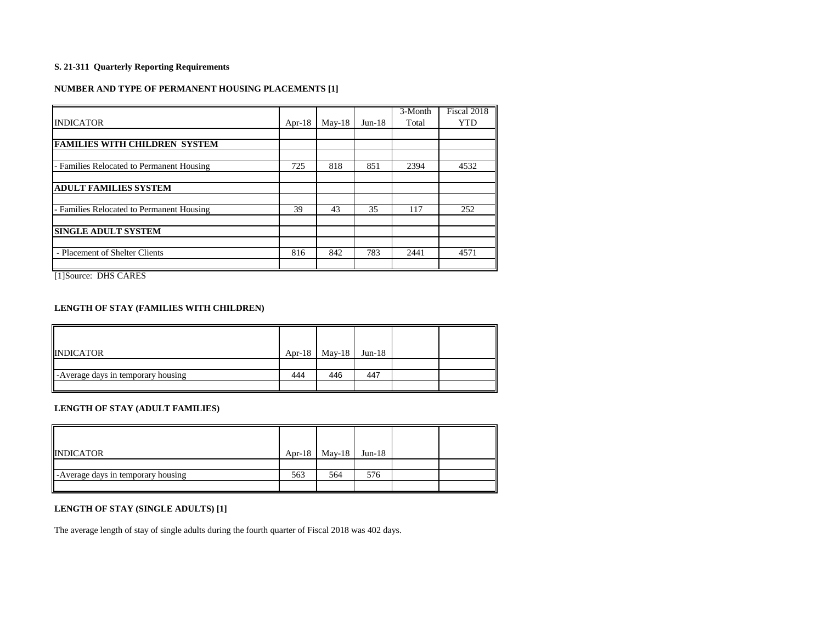### **NUMBER AND TYPE OF PERMANENT HOUSING PLACEMENTS [1]**

|                                           |           |          |          | $\overline{3}$ -Month | Fiscal 2018 |
|-------------------------------------------|-----------|----------|----------|-----------------------|-------------|
| <b>INDICATOR</b>                          | Apr- $18$ | $May-18$ | $Jun-18$ | Total                 | <b>YTD</b>  |
|                                           |           |          |          |                       |             |
| <b>FAMILIES WITH CHILDREN SYSTEM</b>      |           |          |          |                       |             |
|                                           |           |          |          |                       |             |
| - Families Relocated to Permanent Housing | 725       | 818      | 851      | 2394                  | 4532        |
|                                           |           |          |          |                       |             |
| <b>ADULT FAMILIES SYSTEM</b>              |           |          |          |                       |             |
|                                           |           |          |          |                       |             |
| - Families Relocated to Permanent Housing | 39        | 43       | 35       | 117                   | 252         |
|                                           |           |          |          |                       |             |
| <b>SINGLE ADULT SYSTEM</b>                |           |          |          |                       |             |
|                                           |           |          |          |                       |             |
| - Placement of Shelter Clients            | 816       | 842      | 783      | 2441                  | 4571        |
|                                           |           |          |          |                       |             |

[1]Source: DHS CARES

### **LENGTH OF STAY (FAMILIES WITH CHILDREN)**

| <b>INDICATOR</b>                  |     | Apr-18 $\vert$ May-18 $\vert$ Jun-18 |     |  |
|-----------------------------------|-----|--------------------------------------|-----|--|
|                                   |     |                                      |     |  |
| Average days in temporary housing | 444 | 446                                  | 447 |  |
|                                   |     |                                      |     |  |

### **LENGTH OF STAY (ADULT FAMILIES)**

| <b>INDICATOR</b>                  |     | Apr-18   May-18   Jun-18 |     |  |
|-----------------------------------|-----|--------------------------|-----|--|
|                                   |     |                          |     |  |
| Average days in temporary housing | 563 | 564                      | 576 |  |
|                                   |     |                          |     |  |

### **LENGTH OF STAY (SINGLE ADULTS) [1]**

The average length of stay of single adults during the fourth quarter of Fiscal 2018 was 402 days.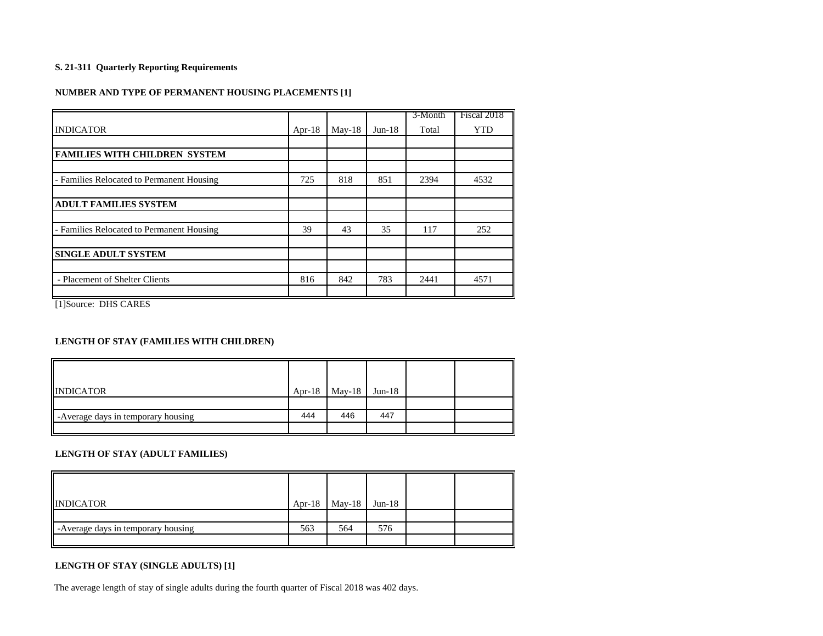#### **NUMBER AND TYPE OF PERMANENT HOUSING PLACEMENTS [1]**

|                                           |           |          |          | 3-Month | Fiscal 2018 |
|-------------------------------------------|-----------|----------|----------|---------|-------------|
| <b>INDICATOR</b>                          | Apr- $18$ | $May-18$ | $Jun-18$ | Total   | <b>YTD</b>  |
|                                           |           |          |          |         |             |
| <b>FAMILIES WITH CHILDREN SYSTEM</b>      |           |          |          |         |             |
|                                           |           |          |          |         |             |
| - Families Relocated to Permanent Housing | 725       | 818      | 851      | 2394    | 4532        |
|                                           |           |          |          |         |             |
| <b>ADULT FAMILIES SYSTEM</b>              |           |          |          |         |             |
|                                           |           |          |          |         |             |
| - Families Relocated to Permanent Housing | 39        | 43       | 35       | 117     | 252         |
|                                           |           |          |          |         |             |
| <b>SINGLE ADULT SYSTEM</b>                |           |          |          |         |             |
|                                           |           |          |          |         |             |
| - Placement of Shelter Clients            | 816       | 842      | 783      | 2441    | 4571        |
|                                           |           |          |          |         |             |

[1]Source: DHS CARES

#### **LENGTH OF STAY (FAMILIES WITH CHILDREN)**

| <b>INDICATOR</b>                   | Apr-18 | May-18 | Jun-18 |  |
|------------------------------------|--------|--------|--------|--|
|                                    |        |        |        |  |
| -Average days in temporary housing | 444    | 446    | 447    |  |
|                                    |        |        |        |  |

#### **LENGTH OF STAY (ADULT FAMILIES)**

| <b>INDICATOR</b>                   | Apr-18 | $May-18$ Jun-18 |     |  |
|------------------------------------|--------|-----------------|-----|--|
|                                    |        |                 |     |  |
|                                    |        |                 |     |  |
| -Average days in temporary housing | 563    | 564             | 576 |  |
|                                    |        |                 |     |  |

#### **LENGTH OF STAY (SINGLE ADULTS) [1]**

The average length of stay of single adults during the fourth quarter of Fiscal 2018 was 402 days.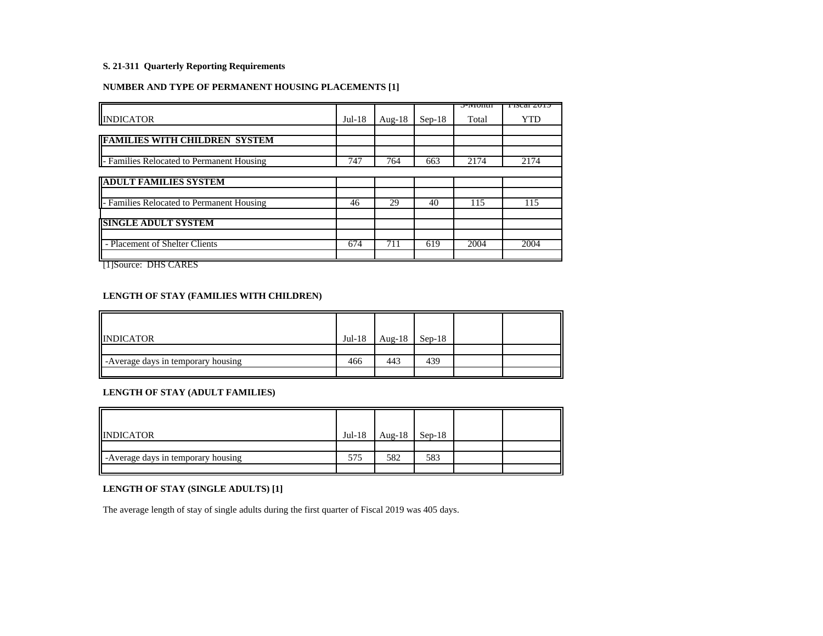#### **NUMBER AND TYPE OF PERMANENT HOUSING PLACEMENTS [1]**

|                                           |          |           |          | <del>. Di</del> vionui | 11scai 2017 |
|-------------------------------------------|----------|-----------|----------|------------------------|-------------|
| <b>INDICATOR</b>                          | $Jul-18$ | Aug- $18$ | $Sep-18$ | Total                  | <b>YTD</b>  |
|                                           |          |           |          |                        |             |
| <b>FAMILIES WITH CHILDREN SYSTEM</b>      |          |           |          |                        |             |
|                                           |          |           |          |                        |             |
| - Families Relocated to Permanent Housing | 747      | 764       | 663      | 2174                   | 2174        |
|                                           |          |           |          |                        |             |
| <b>ADULT FAMILIES SYSTEM</b>              |          |           |          |                        |             |
|                                           |          |           |          |                        |             |
| - Families Relocated to Permanent Housing | 46       | 29        | 40       | 115                    | 115         |
|                                           |          |           |          |                        |             |
| <b>SINGLE ADULT SYSTEM</b>                |          |           |          |                        |             |
|                                           |          |           |          |                        |             |
| - Placement of Shelter Clients            | 674      | 711       | 619      | 2004                   | 2004        |
| ______                                    |          |           |          |                        |             |

[1]Source: DHS CARES

#### **LENGTH OF STAY (FAMILIES WITH CHILDREN)**

| <b>INDICATOR</b>                   | $Jul-18$ | Aug- $18$ | $Sep-18$ |  |
|------------------------------------|----------|-----------|----------|--|
|                                    |          |           |          |  |
| -Average days in temporary housing | 466      | 443       | 439      |  |
|                                    |          |           |          |  |

#### **LENGTH OF STAY (ADULT FAMILIES)**

| <b>INDICATOR</b>                   | $Jul-18$ | Aug- $18$ | $Sep-18$ |  |
|------------------------------------|----------|-----------|----------|--|
| -Average days in temporary housing |          | 582       | 583      |  |
|                                    |          |           |          |  |

### **LENGTH OF STAY (SINGLE ADULTS) [1]**

The average length of stay of single adults during the first quarter of Fiscal 2019 was 405 days.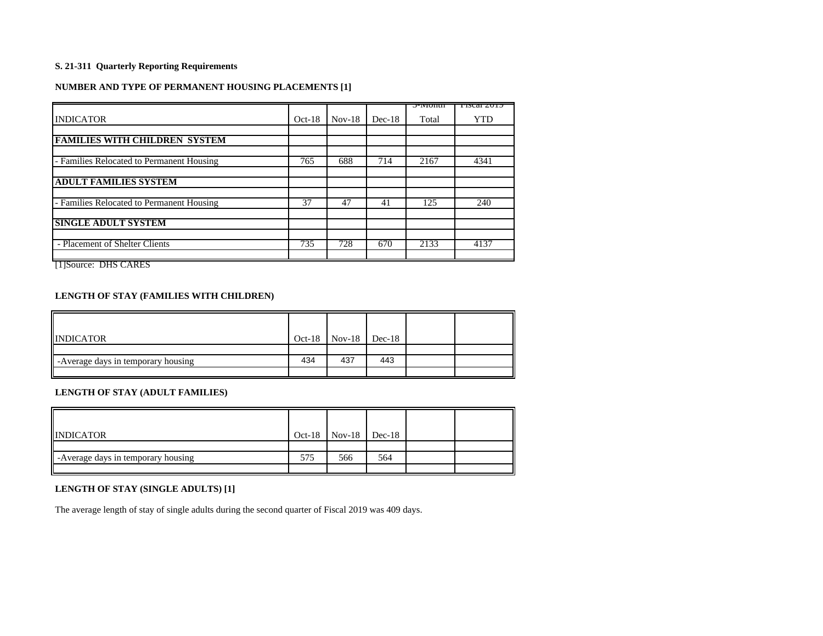### **NUMBER AND TYPE OF PERMANENT HOUSING PLACEMENTS [1]**

|                                           |          |          |          | <del>. Album</del> | 11scai 2015 |
|-------------------------------------------|----------|----------|----------|--------------------|-------------|
| <b>INDICATOR</b>                          | $Oct-18$ | $Nov-18$ | $Dec-18$ | Total              | YTD         |
|                                           |          |          |          |                    |             |
| <b>FAMILIES WITH CHILDREN SYSTEM</b>      |          |          |          |                    |             |
|                                           |          |          |          |                    |             |
| - Families Relocated to Permanent Housing | 765      | 688      | 714      | 2167               | 4341        |
|                                           |          |          |          |                    |             |
| <b>ADULT FAMILIES SYSTEM</b>              |          |          |          |                    |             |
|                                           |          |          |          |                    |             |
| - Families Relocated to Permanent Housing | 37       | 47       | 41       | 125                | 240         |
|                                           |          |          |          |                    |             |
| <b>SINGLE ADULT SYSTEM</b>                |          |          |          |                    |             |
|                                           |          |          |          |                    |             |
| - Placement of Shelter Clients            | 735      | 728      | 670      | 2133               | 4137        |
| ----<br>--------------                    |          |          |          |                    |             |

[1]Source: DHS CARES

#### **LENGTH OF STAY (FAMILIES WITH CHILDREN)**

| <b>INDICATOR</b>                   |     | $Oct-18$ Nov-18 Dec-18 |     |  |
|------------------------------------|-----|------------------------|-----|--|
|                                    |     |                        |     |  |
| -Average days in temporary housing | 434 | 437                    | 443 |  |
|                                    |     |                        |     |  |

#### **LENGTH OF STAY (ADULT FAMILIES)**

| <b>INDICATOR</b>                   | $Oct-18$ Nov-18 Dec-18 |     |  |
|------------------------------------|------------------------|-----|--|
|                                    |                        |     |  |
| -Average days in temporary housing | 566                    | 564 |  |
|                                    |                        |     |  |

### **LENGTH OF STAY (SINGLE ADULTS) [1]**

The average length of stay of single adults during the second quarter of Fiscal 2019 was 409 days.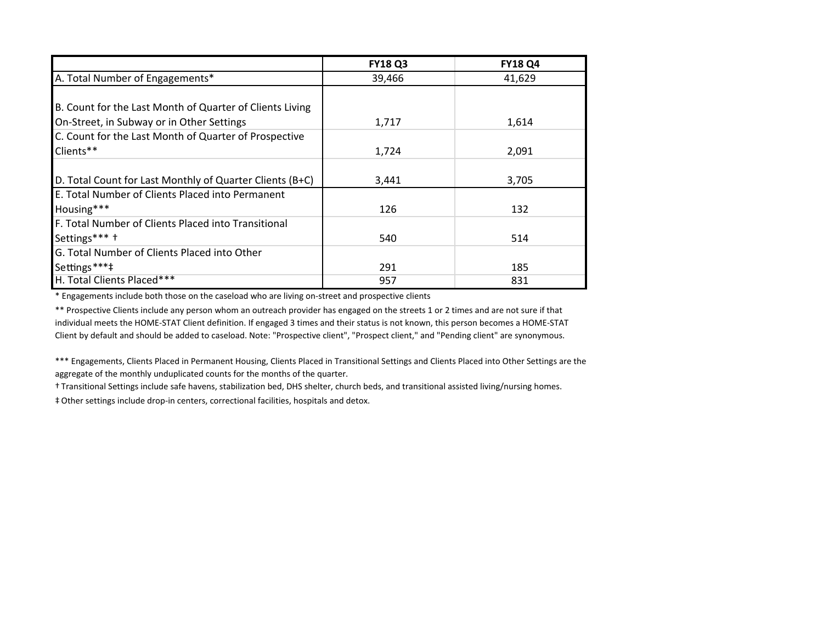|                                                          | <b>FY18 Q3</b> | <b>FY18 Q4</b> |
|----------------------------------------------------------|----------------|----------------|
| A. Total Number of Engagements*                          | 39,466         | 41,629         |
|                                                          |                |                |
| B. Count for the Last Month of Quarter of Clients Living |                |                |
| On-Street, in Subway or in Other Settings                | 1,717          | 1,614          |
| C. Count for the Last Month of Quarter of Prospective    |                |                |
| Clients**                                                | 1,724          | 2,091          |
|                                                          |                |                |
| D. Total Count for Last Monthly of Quarter Clients (B+C) | 3,441          | 3,705          |
| E. Total Number of Clients Placed into Permanent         |                |                |
| Housing***                                               | 126            | 132            |
| F. Total Number of Clients Placed into Transitional      |                |                |
| Settings*** +                                            | 540            | 514            |
| G. Total Number of Clients Placed into Other             |                |                |
| Settings***‡                                             | 291            | 185            |
| H. Total Clients Placed***                               | 957            | 831            |

\* Engagements include both those on the caseload who are living on‐street and prospective clients

\*\* Prospective Clients include any person whom an outreach provider has engaged on the streets 1 or 2 times and are not sure if that individual meets the HOME‐STAT Client definition. If engaged 3 times and their status is not known, this person becomes <sup>a</sup> HOME‐STAT Client by default and should be added to caseload. Note: "Prospective client", "Prospect client," and "Pending client" are synonymous.

\*\*\* Engagements, Clients Placed in Permanent Housing, Clients Placed in Transitional Settings and Clients Placed into Other Settings are the aggregate of the monthly unduplicated counts for the months of the quarter.

† Transitional Settings include safe havens, stabilization bed, DHS shelter, church beds, and transitional assisted living/nursing homes.

‡ Other settings include drop‐in centers, correctional facilities, hospitals and detox.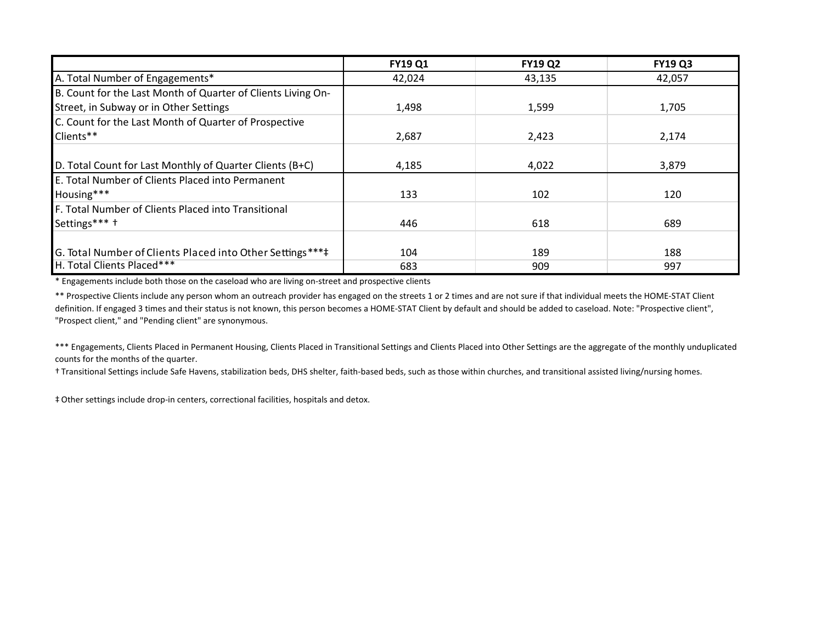|                                                              | <b>FY19 Q1</b> | <b>FY19 Q2</b> | <b>FY19 Q3</b> |
|--------------------------------------------------------------|----------------|----------------|----------------|
| A. Total Number of Engagements*                              | 42,024         | 43,135         | 42,057         |
| B. Count for the Last Month of Quarter of Clients Living On- |                |                |                |
| Street, in Subway or in Other Settings                       | 1,498          | 1,599          | 1,705          |
| C. Count for the Last Month of Quarter of Prospective        |                |                |                |
| Clients**                                                    | 2,687          | 2,423          | 2,174          |
|                                                              |                |                |                |
| D. Total Count for Last Monthly of Quarter Clients (B+C)     | 4,185          | 4,022          | 3,879          |
| E. Total Number of Clients Placed into Permanent             |                |                |                |
| Housing***                                                   | 133            | 102            | 120            |
| F. Total Number of Clients Placed into Transitional          |                |                |                |
| Settings*** +                                                | 446            | 618            | 689            |
|                                                              |                |                |                |
| G. Total Number of Clients Placed into Other Settings**** ‡  | 104            | 189            | 188            |
| H. Total Clients Placed***                                   | 683            | 909            | 997            |

\* Engagements include both those on the caseload who are living on‐street and prospective clients

\*\* Prospective Clients include any person whom an outreach provider has engaged on the streets 1 or 2 times and are not sure if that individual meets the HOME‐STAT Client definition. If engaged 3 times and their status is not known, this person becomes <sup>a</sup> HOME‐STAT Client by default and should be added to caseload. Note: "Prospective client", "Prospect client," and "Pending client" are synonymous.

\*\*\* Engagements, Clients Placed in Permanent Housing, Clients Placed in Transitional Settings and Clients Placed into Other Settings are the aggregate of the monthly unduplicated counts for the months of the quarter.

† Transitional Settings include Safe Havens, stabilization beds, DHS shelter, faith‐based beds, such as those within churches, and transitional assisted living/nursing homes.

‡ Other settings include drop‐in centers, correctional facilities, hospitals and detox.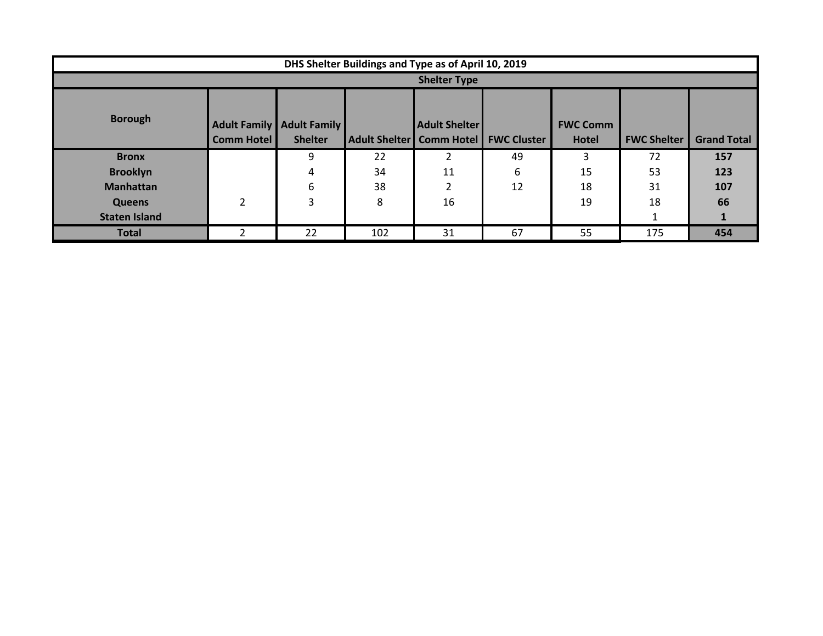| DHS Shelter Buildings and Type as of April 10, 2019 |                   |                                    |                                          |                      |    |                 |                    |                    |  |
|-----------------------------------------------------|-------------------|------------------------------------|------------------------------------------|----------------------|----|-----------------|--------------------|--------------------|--|
| <b>Shelter Type</b>                                 |                   |                                    |                                          |                      |    |                 |                    |                    |  |
| <b>Borough</b>                                      |                   | <b>Adult Family   Adult Family</b> |                                          | <b>Adult Shelter</b> |    | <b>FWC Comm</b> |                    |                    |  |
|                                                     | <b>Comm Hotel</b> | <b>Shelter</b>                     | Adult Shelter   Comm Hotel   FWC Cluster |                      |    | <b>Hotel</b>    | <b>FWC Shelter</b> | <b>Grand Total</b> |  |
| <b>Bronx</b>                                        |                   | 9                                  | 22                                       | 2                    | 49 | 3               | 72                 | 157                |  |
| <b>Brooklyn</b>                                     |                   | 4                                  | 34                                       | 11                   | 6  | 15              | 53                 | 123                |  |
| <b>Manhattan</b>                                    |                   | 6                                  | 38                                       | 2                    | 12 | 18              | 31                 | 107                |  |
| <b>Queens</b>                                       | $\overline{2}$    | 3                                  | 8                                        | 16                   |    | 19              | 18                 | 66                 |  |
| <b>Staten Island</b>                                |                   |                                    |                                          |                      |    |                 |                    |                    |  |
| <b>Total</b>                                        | າ                 | 22                                 | 102                                      | 31                   | 67 | 55              | 175                | 454                |  |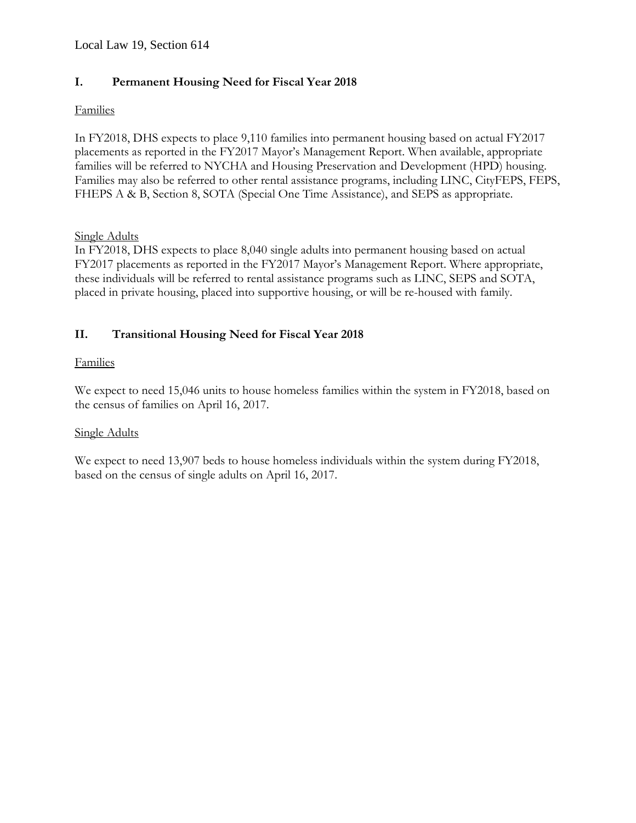# Local Law 19, Section 614

## **I. Permanent Housing Need for Fiscal Year 2018**

### Families

In FY2018, DHS expects to place 9,110 families into permanent housing based on actual FY2017 placements as reported in the FY2017 Mayor's Management Report. When available, appropriate families will be referred to NYCHA and Housing Preservation and Development (HPD) housing. Families may also be referred to other rental assistance programs, including LINC, CityFEPS, FEPS, FHEPS A & B, Section 8, SOTA (Special One Time Assistance), and SEPS as appropriate.

## Single Adults

In FY2018, DHS expects to place 8,040 single adults into permanent housing based on actual FY2017 placements as reported in the FY2017 Mayor's Management Report. Where appropriate, these individuals will be referred to rental assistance programs such as LINC, SEPS and SOTA, placed in private housing, placed into supportive housing, or will be re-housed with family.

# **II. Transitional Housing Need for Fiscal Year 2018**

## Families

We expect to need 15,046 units to house homeless families within the system in FY2018, based on the census of families on April 16, 2017.

### Single Adults

We expect to need 13,907 beds to house homeless individuals within the system during FY2018, based on the census of single adults on April 16, 2017.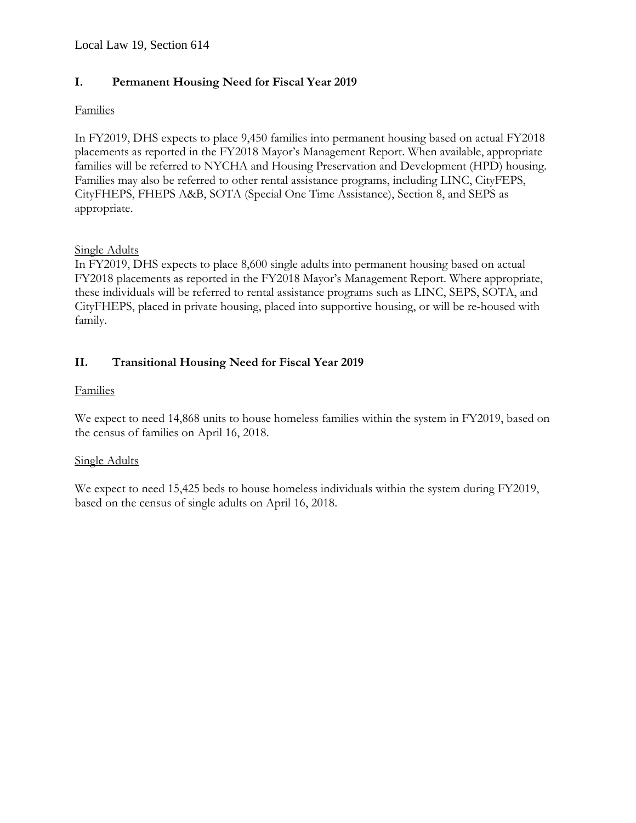# Local Law 19, Section 614

## **I. Permanent Housing Need for Fiscal Year 2019**

## Families

In FY2019, DHS expects to place 9,450 families into permanent housing based on actual FY2018 placements as reported in the FY2018 Mayor's Management Report. When available, appropriate families will be referred to NYCHA and Housing Preservation and Development (HPD) housing. Families may also be referred to other rental assistance programs, including LINC, CityFEPS, CityFHEPS, FHEPS A&B, SOTA (Special One Time Assistance), Section 8, and SEPS as appropriate.

## Single Adults

In FY2019, DHS expects to place 8,600 single adults into permanent housing based on actual FY2018 placements as reported in the FY2018 Mayor's Management Report. Where appropriate, these individuals will be referred to rental assistance programs such as LINC, SEPS, SOTA, and CityFHEPS, placed in private housing, placed into supportive housing, or will be re-housed with family.

# **II. Transitional Housing Need for Fiscal Year 2019**

### Families

We expect to need 14,868 units to house homeless families within the system in FY2019, based on the census of families on April 16, 2018.

### Single Adults

We expect to need 15,425 beds to house homeless individuals within the system during FY2019, based on the census of single adults on April 16, 2018.